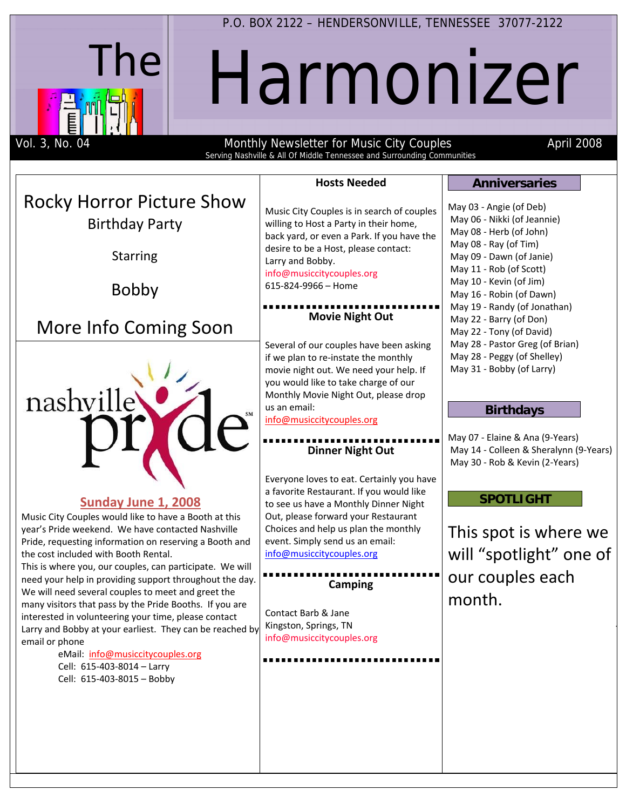

P.O. BOX 2122 – HENDERSONVILLE, TENNESSEE 37077-2122

# Harmonizer

Vol. 3, No. 04 Monthly Newsletter for Music City Couples April 2008

T

| Serving Nashville & All Of Middle Tennessee and Surrounding Communities                                                                                                                                                                                                                 |                                                                                                                                                                  |                                                                                                                        |
|-----------------------------------------------------------------------------------------------------------------------------------------------------------------------------------------------------------------------------------------------------------------------------------------|------------------------------------------------------------------------------------------------------------------------------------------------------------------|------------------------------------------------------------------------------------------------------------------------|
|                                                                                                                                                                                                                                                                                         | <b>Hosts Needed</b>                                                                                                                                              | <b>Anniversaries</b>                                                                                                   |
| <b>Rocky Horror Picture Show</b><br><b>Birthday Party</b>                                                                                                                                                                                                                               | Music City Couples is in search of couples<br>willing to Host a Party in their home,<br>back yard, or even a Park. If you have the                               | May 03 - Angie (of Deb)<br>May 06 - Nikki (of Jeannie)<br>May 08 - Herb (of John)<br>May 08 - Ray (of Tim)             |
| <b>Starring</b><br><b>Bobby</b>                                                                                                                                                                                                                                                         | desire to be a Host, please contact:<br>Larry and Bobby.<br>info@musiccitycouples.org<br>615-824-9966 - Home                                                     | May 09 - Dawn (of Janie)<br>May 11 - Rob (of Scott)<br>May 10 - Kevin (of Jim)<br>May 16 - Robin (of Dawn)             |
| More Info Coming Soon                                                                                                                                                                                                                                                                   | <b>Movie Night Out</b><br>Several of our couples have been asking                                                                                                | May 19 - Randy (of Jonathan)<br>May 22 - Barry (of Don)<br>May 22 - Tony (of David)<br>May 28 - Pastor Greg (of Brian) |
|                                                                                                                                                                                                                                                                                         | if we plan to re-instate the monthly<br>movie night out. We need your help. If<br>you would like to take charge of our                                           | May 28 - Peggy (of Shelley)<br>May 31 - Bobby (of Larry)                                                               |
| nashville                                                                                                                                                                                                                                                                               | Monthly Movie Night Out, please drop<br>us an email:<br>info@musiccitycouples.org                                                                                | <b>Birthdays</b><br>May 07 - Elaine & Ana (9-Years)                                                                    |
|                                                                                                                                                                                                                                                                                         | <b>Dinner Night Out</b><br>Everyone loves to eat. Certainly you have                                                                                             | May 14 - Colleen & Sheralynn (9-Years)<br>May 30 - Rob & Kevin (2-Years)                                               |
| Sunday June 1, 2008<br>Music City Couples would like to have a Booth at this<br>year's Pride weekend. We have contacted Nashville                                                                                                                                                       | a favorite Restaurant. If you would like<br>to see us have a Monthly Dinner Night<br>Out, please forward your Restaurant<br>Choices and help us plan the monthly | <b>SPOTLIGHT</b><br>This spot is where we                                                                              |
| Pride, requesting information on reserving a Booth and<br>the cost included with Booth Rental.<br>This is where you, our couples, can participate. We will<br>need your help in providing support throughout the day.                                                                   | event. Simply send us an email:<br>info@musiccitycouples.org<br><b>Camping</b>                                                                                   | will "spotlight" one of<br>our couples each                                                                            |
| We will need several couples to meet and greet the<br>many visitors that pass by the Pride Booths. If you are<br>interested in volunteering your time, please contact<br>Larry and Bobby at your earliest. They can be reached by<br>email or phone<br>eMail: info@musiccitycouples.org | Contact Barb & Jane<br>Kingston, Springs, TN<br>info@musiccitycouples.org                                                                                        | month.                                                                                                                 |
| Cell: 615-403-8014 - Larry<br>Cell: 615-403-8015 - Bobby                                                                                                                                                                                                                                |                                                                                                                                                                  |                                                                                                                        |
|                                                                                                                                                                                                                                                                                         |                                                                                                                                                                  |                                                                                                                        |